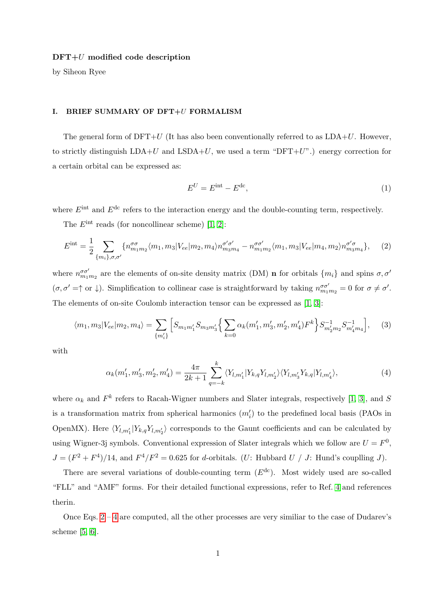### $DFT+U$  modified code description

by Siheon Ryee

### I. BRIEF SUMMARY OF DFT+U FORMALISM

The general form of  $DFT+U$  (It has also been conventionally referred to as  $LDA+U$ . However, to strictly distinguish  $LDA+U$  and  $LSDA+U$ , we used a term "DFT+U".) energy correction for a certain orbital can be expressed as:

<span id="page-0-2"></span><span id="page-0-1"></span><span id="page-0-0"></span>
$$
E^{U} = E^{\text{int}} - E^{\text{dc}},\tag{1}
$$

where  $E^{\text{int}}$  and  $E^{\text{dc}}$  refers to the interaction energy and the double-counting term, respectively.

The  $E^{\text{int}}$  reads (for noncollinear scheme) [\[1,](#page-3-0) [2\]](#page-3-1):

$$
E^{\text{int}} = \frac{1}{2} \sum_{\{m_i\},\sigma,\sigma'} \{n_{m_1m_2}^{\sigma\sigma} \langle m_1, m_3 | V_{ee} | m_2, m_4 \rangle n_{m_3m_4}^{\sigma'\sigma'} - n_{m_1m_2}^{\sigma\sigma'} \langle m_1, m_3 | V_{ee} | m_4, m_2 \rangle n_{m_3m_4}^{\sigma'\sigma'} \}, \tag{2}
$$

where  $n_{m_1m_2}^{\sigma\sigma'}$  are the elements of on-site density matrix (DM) **n** for orbitals  $\{m_i\}$  and spins  $\sigma$ ,  $\sigma'$  $(\sigma, \sigma' = \uparrow \sigma \downarrow)$ . Simplification to collinear case is straightforward by taking  $n_{m_1 m_2}^{\sigma \sigma'} = 0$  for  $\sigma \neq \sigma'$ . The elements of on-site Coulomb interaction tensor can be expressed as [\[1,](#page-3-0) [3\]](#page-3-2):

$$
\langle m_1, m_3 | V_{ee} | m_2, m_4 \rangle = \sum_{\{m'_i\}} \left[ S_{m_1 m'_1} S_{m_3 m'_3} \left\{ \sum_{k=0} \alpha_k (m'_1, m'_3, m'_2, m'_4) F^k \right\} S_{m'_2 m_2}^{-1} S_{m'_4 m_4}^{-1} \right], \tag{3}
$$

with

$$
\alpha_k(m'_1, m'_3, m'_2, m'_4) = \frac{4\pi}{2k+1} \sum_{q=-k}^{k} \langle Y_{l,m'_1} | Y_{k,q} Y_{l,m'_2} \rangle \langle Y_{l,m'_3} Y_{k,q} | Y_{l,m'_4} \rangle, \tag{4}
$$

where  $\alpha_k$  and  $F^k$  refers to Racah-Wigner numbers and Slater integrals, respectively [\[1,](#page-3-0) [3\]](#page-3-2), and S is a transformation matrix from spherical harmonics  $(m'_i)$  to the predefined local basis (PAOs in OpenMX). Here  $\langle Y_{l,m_1'} | Y_{k,q} Y_{l,m_2'} \rangle$  corresponds to the Gaunt coefficients and can be calculated by using Wigner-3j symbols. Conventional expression of Slater integrals which we follow are  $U = F^0$ ,  $J = (F^2 + F^4)/14$ , and  $F^4/F^2 = 0.625$  for d-orbitals. (U: Hubbard U / J: Hund's coupling J).

There are several variations of double-counting term  $(E^{dc})$ . Most widely used are so-called "FLL" and "AMF" forms. For their detailed functional expressions, refer to Ref. [4](#page-3-3) and references therin.

Once Eqs.  $2 - 4$  $2 - 4$  are computed, all the other processes are very similiar to the case of Dudarev's scheme [\[5,](#page-3-4) [6\]](#page-4-0).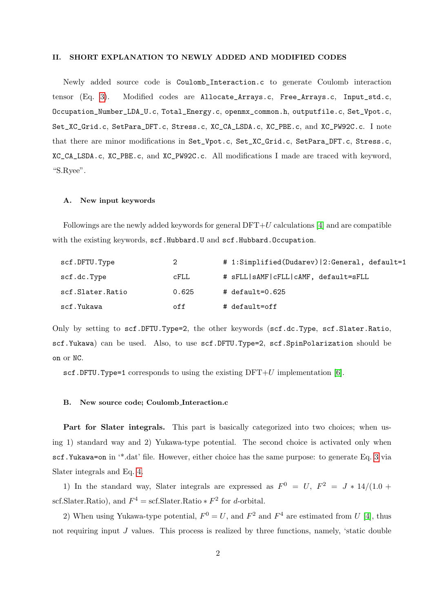### II. SHORT EXPLANATION TO NEWLY ADDED AND MODIFIED CODES

Newly added source code is Coulomb\_Interaction.c to generate Coulomb interaction tensor (Eq. [3\)](#page-0-2). Modified codes are Allocate\_Arrays.c, Free\_Arrays.c, Input\_std.c, Occupation\_Number\_LDA\_U.c, Total\_Energy.c, openmx\_common.h, outputfile.c, Set\_Vpot.c, Set\_XC\_Grid.c, SetPara\_DFT.c, Stress.c, XC\_CA\_LSDA.c, XC\_PBE.c, and XC\_PW92C.c. I note that there are minor modifications in Set\_Vpot.c, Set\_XC\_Grid.c, SetPara\_DFT.c, Stress.c, XC\_CA\_LSDA.c, XC\_PBE.c, and XC\_PW92C.c. All modifications I made are traced with keyword, "S.Ryee".

## A. New input keywords

Followings are the newly added keywords for general  $DFT+U$  calculations [\[4\]](#page-3-3) and are compatible with the existing keywords, scf.Hubbard.U and scf.Hubbard.Occupation.

| scf.DFTU.Type    | 2           | # 1:Simplified(Dudarev)   2: General, default=1 |
|------------------|-------------|-------------------------------------------------|
| scf.dc.Type      | <b>CFLL</b> | # sFLL   sAMF   cFLL   cAMF, default=sFLL       |
| scf.Slater.Ratio | 0.625       | # default=0.625                                 |
| scf.Yukawa       | off         | # default=off                                   |

Only by setting to scf.DFTU.Type=2, the other keywords (scf.dc.Type, scf.Slater.Ratio, scf.Yukawa) can be used. Also, to use scf.DFTU.Type=2, scf.SpinPolarization should be on or NC.

scf.DFTU.Type=1 corresponds to using the existing  $DFT+U$  implementation [\[6\]](#page-4-0).

# B. New source code; Coulomb Interaction.c

Part for Slater integrals. This part is basically categorized into two choices; when using 1) standard way and 2) Yukawa-type potential. The second choice is activated only when scf.Yukawa=on in '\*.dat' file. However, either choice has the same purpose: to generate Eq. [3](#page-0-2) via Slater integrals and Eq. [4.](#page-0-1)

1) In the standard way, Slater integrals are expressed as  $F^0 = U, F^2 = J * 14/(1.0 +$ scf.Slater.Ratio), and  $F^4 = \text{scf.Slater.Ratio} * F^2$  for d-orbital.

2) When using Yukawa-type potential,  $F^0 = U$ , and  $F^2$  and  $F^4$  are estimated from U [\[4\]](#page-3-3), thus not requiring input  $J$  values. This process is realized by three functions, namely, 'static double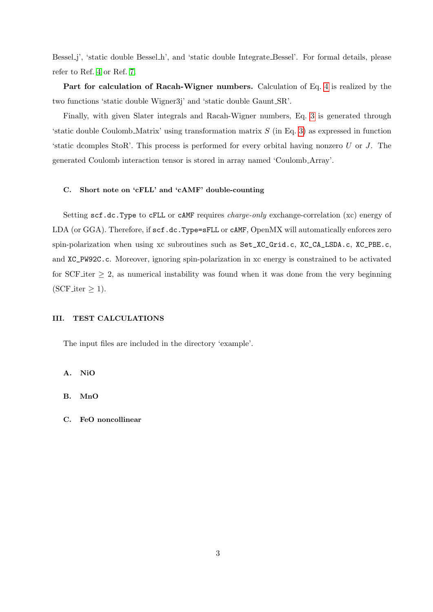Bessel j', 'static double Bessel h', and 'static double Integrate Bessel'. For formal details, please refer to Ref. [4](#page-3-3) or Ref. [7.](#page-4-1)

Part for calculation of Racah-Wigner numbers. Calculation of Eq. [4](#page-0-1) is realized by the two functions 'static double Wigner3j' and 'static double Gaunt SR'.

Finally, with given Slater integrals and Racah-Wigner numbers, Eq. [3](#page-0-2) is generated through 'static double Coulomb Matrix' using transformation matrix S (in Eq. [3\)](#page-0-2) as expressed in function 'static dcomples StoR'. This process is performed for every orbital having nonzero  $U$  or  $J$ . The generated Coulomb interaction tensor is stored in array named 'Coulomb Array'.

## C. Short note on 'cFLL' and 'cAMF' double-counting

Setting scf.dc.Type to cFLL or cAMF requires charge-only exchange-correlation (xc) energy of LDA (or GGA). Therefore, if scf.dc.Type=sFLL or cAMF, OpenMX will automatically enforces zero spin-polarization when using xc subroutines such as Set\_XC\_Grid.c, XC\_CA\_LSDA.c, XC\_PBE.c, and XC\_PW92C.c. Moreover, ignoring spin-polarization in xc energy is constrained to be activated for SCF iter  $\geq 2$ , as numerical instability was found when it was done from the very beginning  $(SCF_{\text{iter}} \geq 1)$ .

## III. TEST CALCULATIONS

The input files are included in the directory 'example'.

A. NiO

B. MnO

C. FeO noncollinear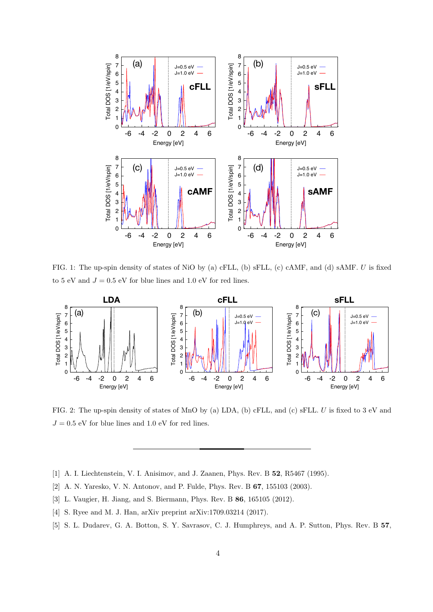

FIG. 1: The up-spin density of states of NiO by (a) cFLL, (b) sFLL, (c) cAMF, and (d) sAMF. U is fixed to 5 eV and  $J = 0.5$  eV for blue lines and 1.0 eV for red lines.



FIG. 2: The up-spin density of states of MnO by (a) LDA, (b) cFLL, and (c) sFLL. U is fixed to 3 eV and  $J = 0.5$  eV for blue lines and 1.0 eV for red lines.

- <span id="page-3-1"></span><span id="page-3-0"></span>[1] A. I. Liechtenstein, V. I. Anisimov, and J. Zaanen, Phys. Rev. B 52, R5467 (1995).
- <span id="page-3-2"></span>[2] A. N. Yaresko, V. N. Antonov, and P. Fulde, Phys. Rev. B 67, 155103 (2003).
- <span id="page-3-3"></span>[3] L. Vaugier, H. Jiang, and S. Biermann, Phys. Rev. B 86, 165105 (2012).
- <span id="page-3-4"></span>[4] S. Ryee and M. J. Han, arXiv preprint arXiv:1709.03214 (2017).
- [5] S. L. Dudarev, G. A. Botton, S. Y. Savrasov, C. J. Humphreys, and A. P. Sutton, Phys. Rev. B 57,